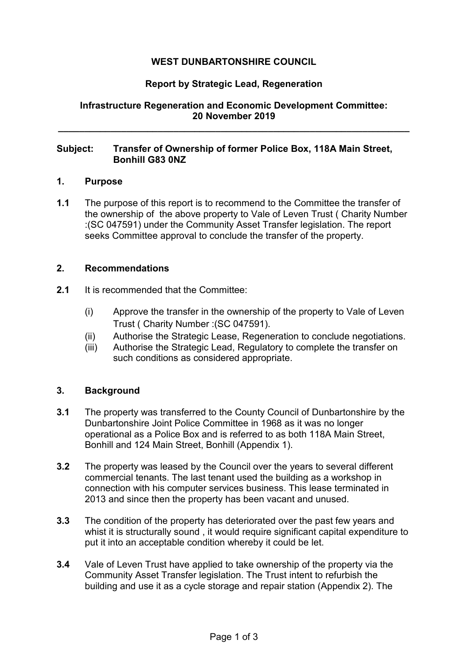# **WEST DUNBARTONSHIRE COUNCIL**

## **Report by Strategic Lead, Regeneration**

## **Infrastructure Regeneration and Economic Development Committee: 20 November 2019**

**\_\_\_\_\_\_\_\_\_\_\_\_\_\_\_\_\_\_\_\_\_\_\_\_\_\_\_\_\_\_\_\_\_\_\_\_\_\_\_\_\_\_\_\_\_\_\_\_\_\_\_\_\_\_\_\_\_\_\_\_\_\_\_\_\_\_\_** 

### **Subject: Transfer of Ownership of former Police Box, 118A Main Street, Bonhill G83 0NZ**

### **1. Purpose**

**1.1** The purpose of this report is to recommend to the Committee the transfer of the ownership of the above property to Vale of Leven Trust ( Charity Number :(SC 047591) under the Community Asset Transfer legislation. The report seeks Committee approval to conclude the transfer of the property.

#### **2. Recommendations**

- **2.1** It is recommended that the Committee:
	- (i) Approve the transfer in the ownership of the property to Vale of Leven Trust ( Charity Number :(SC 047591).
	- (ii) Authorise the Strategic Lease, Regeneration to conclude negotiations.
	- (iii) Authorise the Strategic Lead, Regulatory to complete the transfer on such conditions as considered appropriate.

## **3. Background**

- **3.1** The property was transferred to the County Council of Dunbartonshire by the Dunbartonshire Joint Police Committee in 1968 as it was no longer operational as a Police Box and is referred to as both 118A Main Street, Bonhill and 124 Main Street, Bonhill (Appendix 1).
- **3.2** The property was leased by the Council over the years to several different commercial tenants. The last tenant used the building as a workshop in connection with his computer services business. This lease terminated in 2013 and since then the property has been vacant and unused.
- **3.3** The condition of the property has deteriorated over the past few years and whist it is structurally sound , it would require significant capital expenditure to put it into an acceptable condition whereby it could be let.
- **3.4** Vale of Leven Trust have applied to take ownership of the property via the Community Asset Transfer legislation. The Trust intent to refurbish the building and use it as a cycle storage and repair station (Appendix 2). The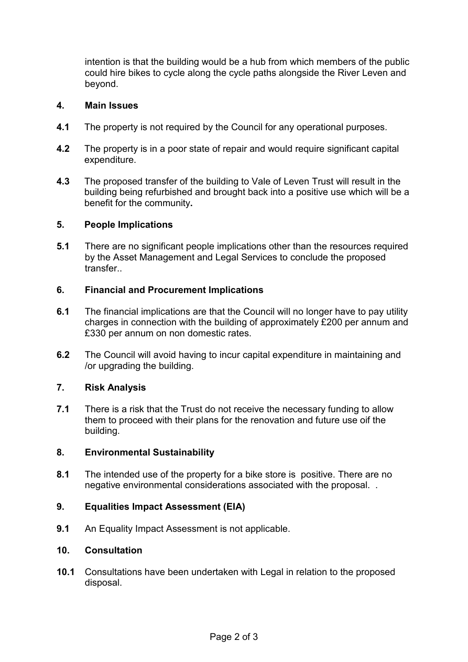intention is that the building would be a hub from which members of the public could hire bikes to cycle along the cycle paths alongside the River Leven and beyond.

### **4. Main Issues**

- **4.1** The property is not required by the Council for any operational purposes.
- **4.2** The property is in a poor state of repair and would require significant capital expenditure.
- **4.3** The proposed transfer of the building to Vale of Leven Trust will result in the building being refurbished and brought back into a positive use which will be a benefit for the community**.**

#### **5. People Implications**

**5.1** There are no significant people implications other than the resources required by the Asset Management and Legal Services to conclude the proposed transfer..

### **6. Financial and Procurement Implications**

- **6.1** The financial implications are that the Council will no longer have to pay utility charges in connection with the building of approximately £200 per annum and £330 per annum on non domestic rates.
- **6.2** The Council will avoid having to incur capital expenditure in maintaining and /or upgrading the building.

## **7. Risk Analysis**

**7.1** There is a risk that the Trust do not receive the necessary funding to allow them to proceed with their plans for the renovation and future use oif the building.

## **8. Environmental Sustainability**

**8.1** The intended use of the property for a bike store is positive. There are no negative environmental considerations associated with the proposal. .

## **9. Equalities Impact Assessment (EIA)**

**9.1** An Equality Impact Assessment is not applicable.

#### **10. Consultation**

**10.1** Consultations have been undertaken with Legal in relation to the proposed disposal.